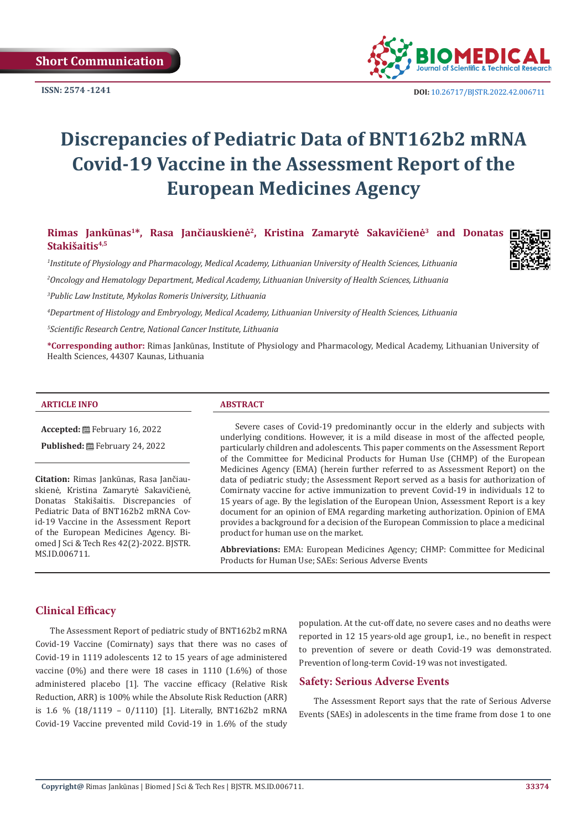

# **Discrepancies of Pediatric Data of BNT162b2 mRNA Covid-19 Vaccine in the Assessment Report of the European Medicines Agency**

**Rimas Jankūnas<sup>1</sup>\*, Rasa Jančiauskienė<sup>2</sup>, Kristina Zamarytė Sakavičienė3 and Donatas**  Stakišaitis<sup>4,5</sup>

*1 Institute of Physiology and Pharmacology, Medical Academy, Lithuanian University of Health Sciences, Lithuania* 

*2 Oncology and Hematology Department, Medical Academy, Lithuanian University of Health Sciences, Lithuania*

*3 Public Law Institute, Mykolas Romeris University, Lithuania*

*4 Department of Histology and Embryology, Medical Academy, Lithuanian University of Health Sciences, Lithuania*

*5 Scientific Research Centre, National Cancer Institute, Lithuania*

**\*Corresponding author:** Rimas Jankūnas, Institute of Physiology and Pharmacology, Medical Academy, Lithuanian University of Health Sciences, 44307 Kaunas, Lithuania

#### **ARTICLE INFO ABSTRACT**

**Accepted:** February 16, 2022

Published: **■**February 24, 2022

**Citation:** Rimas Jankūnas, Rasa Jančiauskienė, Kristina Zamarytė Sakavičienė, Donatas Stakišaitis. Discrepancies of Pediatric Data of BNT162b2 mRNA Covid-19 Vaccine in the Assessment Report of the European Medicines Agency. Biomed J Sci & Tech Res 42(2)-2022. BJSTR. MS.ID.006711.

Severe cases of Covid-19 predominantly occur in the elderly and subjects with underlying conditions. However, it is a mild disease in most of the affected people, particularly children and adolescents. This paper comments on the Assessment Report of the Committee for Medicinal Products for Human Use (CHMP) of the European Medicines Agency (EMA) (herein further referred to as Assessment Report) on the data of pediatric study; the Assessment Report served as a basis for authorization of Comirnaty vaccine for active immunization to prevent Covid-19 in individuals 12 to 15 years of age. By the legislation of the European Union, Assessment Report is a key document for an opinion of EMA regarding marketing authorization. Opinion of EMA provides a background for a decision of the European Commission to place a medicinal product for human use on the market.

**Abbreviations:** EMA: European Medicines Agency; CHMP: Committee for Medicinal Products for Human Use; SAEs: Serious Adverse Events

#### **Clinical Efficacy**

The Assessment Report of pediatric study of BNT162b2 mRNA Covid-19 Vaccine (Comirnaty) says that there was no cases of Covid-19 in 1119 adolescents 12 to 15 years of age administered vaccine (0%) and there were 18 cases in 1110 (1.6%) of those administered placebo [1]. The vaccine efficacy (Relative Risk Reduction, ARR) is 100% while the Absolute Risk Reduction (ARR) is 1.6 % (18/1119 – 0/1110) [1]. Literally, BNT162b2 mRNA Covid-19 Vaccine prevented mild Covid-19 in 1.6% of the study

population. At the cut-off date, no severe cases and no deaths were reported in 12 15 years-old age group1, i.e., no benefit in respect to prevention of severe or death Covid-19 was demonstrated. Prevention of long-term Covid-19 was not investigated.

#### **Safety: Serious Adverse Events**

The Assessment Report says that the rate of Serious Adverse Events (SAEs) in adolescents in the time frame from dose 1 to one

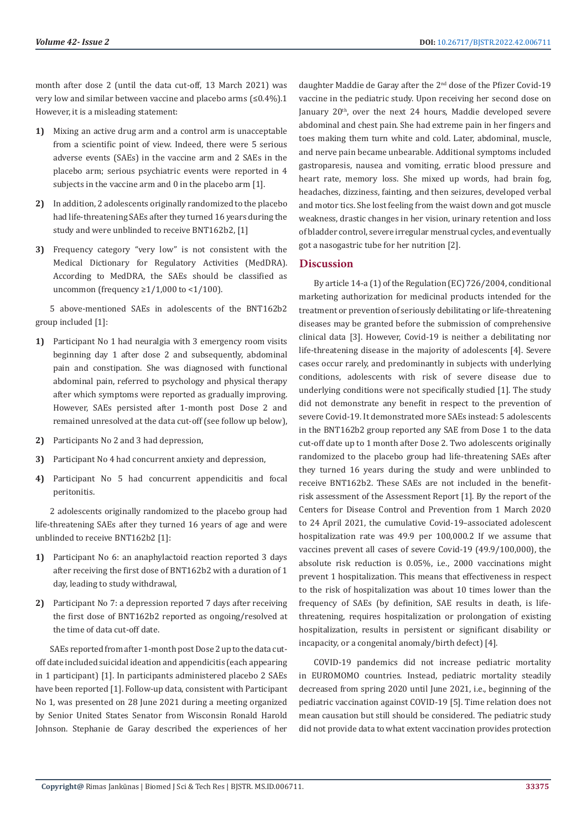month after dose 2 (until the data cut-off, 13 March 2021) was very low and similar between vaccine and placebo arms (≤0.4%).1 However, it is a misleading statement:

- **1)** Mixing an active drug arm and a control arm is unacceptable from a scientific point of view. Indeed, there were 5 serious adverse events (SAEs) in the vaccine arm and 2 SAEs in the placebo arm; serious psychiatric events were reported in 4 subjects in the vaccine arm and 0 in the placebo arm [1].
- **2)** In addition, 2 adolescents originally randomized to the placebo had life-threatening SAEs after they turned 16 years during the study and were unblinded to receive BNT162b2, [1]
- **3)** Frequency category "very low" is not consistent with the Medical Dictionary for Regulatory Activities (MedDRA). According to MedDRA, the SAEs should be classified as uncommon (frequency  $\geq 1/1,000$  to <1/100).

5 above-mentioned SAEs in adolescents of the BNT162b2 group included [1]:

- **1)** Participant No 1 had neuralgia with 3 emergency room visits beginning day 1 after dose 2 and subsequently, abdominal pain and constipation. She was diagnosed with functional abdominal pain, referred to psychology and physical therapy after which symptoms were reported as gradually improving. However, SAEs persisted after 1-month post Dose 2 and remained unresolved at the data cut-off (see follow up below),
- **2)** Participants No 2 and 3 had depression,
- **3)** Participant No 4 had concurrent anxiety and depression,
- **4)** Participant No 5 had concurrent appendicitis and focal peritonitis.

2 adolescents originally randomized to the placebo group had life-threatening SAEs after they turned 16 years of age and were unblinded to receive BNT162b2 [1]:

- **1)** Participant No 6: an anaphylactoid reaction reported 3 days after receiving the first dose of BNT162b2 with a duration of 1 day, leading to study withdrawal,
- **2)** Participant No 7: a depression reported 7 days after receiving the first dose of BNT162b2 reported as ongoing/resolved at the time of data cut-off date.

SAEs reported from after 1-month post Dose 2 up to the data cutoff date included suicidal ideation and appendicitis (each appearing in 1 participant) [1]. In participants administered placebo 2 SAEs have been reported [1]. Follow-up data, consistent with Participant No 1, was presented on 28 June 2021 during a meeting organized by Senior United States Senator from Wisconsin Ronald Harold Johnson. Stephanie de Garay described the experiences of her

daughter Maddie de Garay after the 2nd dose of the Pfizer Covid-19 vaccine in the pediatric study. Upon receiving her second dose on January 20<sup>th</sup>, over the next 24 hours, Maddie developed severe abdominal and chest pain. She had extreme pain in her fingers and toes making them turn white and cold. Later, abdominal, muscle, and nerve pain became unbearable. Additional symptoms included gastroparesis, nausea and vomiting, erratic blood pressure and heart rate, memory loss. She mixed up words, had brain fog, headaches, dizziness, fainting, and then seizures, developed verbal and motor tics. She lost feeling from the waist down and got muscle weakness, drastic changes in her vision, urinary retention and loss of bladder control, severe irregular menstrual cycles, and eventually got a nasogastric tube for her nutrition [2].

#### **Discussion**

By article 14-a (1) of the Regulation (EC) 726/2004, conditional marketing authorization for medicinal products intended for the treatment or prevention of seriously debilitating or life-threatening diseases may be granted before the submission of comprehensive clinical data [3]. However, Covid-19 is neither a debilitating nor life-threatening disease in the majority of adolescents [4]. Severe cases occur rarely, and predominantly in subjects with underlying conditions, adolescents with risk of severe disease due to underlying conditions were not specifically studied [1]. The study did not demonstrate any benefit in respect to the prevention of severe Covid-19. It demonstrated more SAEs instead: 5 adolescents in the BNT162b2 group reported any SAE from Dose 1 to the data cut-off date up to 1 month after Dose 2. Two adolescents originally randomized to the placebo group had life-threatening SAEs after they turned 16 years during the study and were unblinded to receive BNT162b2. These SAEs are not included in the benefitrisk assessment of the Assessment Report [1]. By the report of the Centers for Disease Control and Prevention from 1 March 2020 to 24 April 2021, the cumulative Covid-19–associated adolescent hospitalization rate was 49.9 per 100,000.2 If we assume that vaccines prevent all cases of severe Covid-19 (49.9/100,000), the absolute risk reduction is 0.05%, i.e., 2000 vaccinations might prevent 1 hospitalization. This means that effectiveness in respect to the risk of hospitalization was about 10 times lower than the frequency of SAEs (by definition, SAE results in death, is lifethreatening, requires hospitalization or prolongation of existing hospitalization, results in persistent or significant disability or incapacity, or a congenital anomaly/birth defect) [4].

COVID-19 pandemics did not increase pediatric mortality in EUROMOMO countries. Instead, pediatric mortality steadily decreased from spring 2020 until June 2021, i.e., beginning of the pediatric vaccination against COVID-19 [5]. Time relation does not mean causation but still should be considered. The pediatric study did not provide data to what extent vaccination provides protection